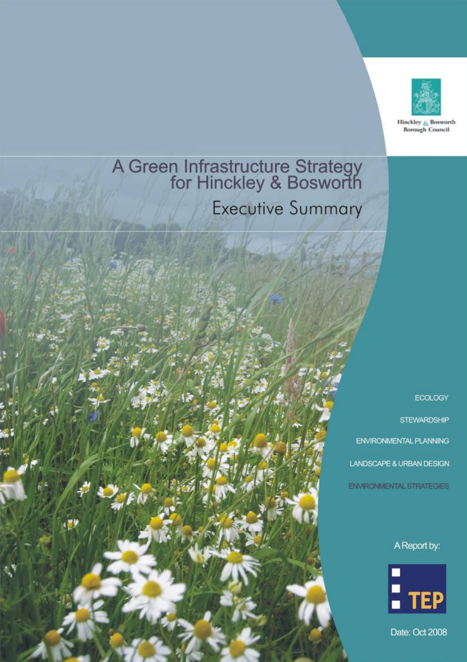

Hinckley & Bosworth **Borough Council** 

# A Green Infrastructure Strategy<br>for Hinckley & Bosworth

**Executive Summary** 

**ECOLOGY** 

**STEWARDSHIP** ENVIRONMENTAL PLANNING LANDSCAPE & URBAN DESIGN

**ENVIRONMENTAL STRATEGIES** 

A Report by:



Date: Oct 2008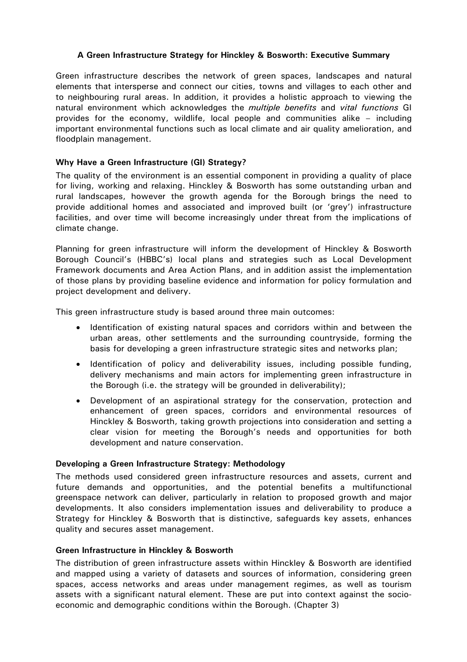# **A Green Infrastructure Strategy for Hinckley & Bosworth: Executive Summary**

Green infrastructure describes the network of green spaces, landscapes and natural elements that intersperse and connect our cities, towns and villages to each other and to neighbouring rural areas. In addition, it provides a holistic approach to viewing the natural environment which acknowledges the *multiple benefits* and *vital functions* GI provides for the economy, wildlife, local people and communities alike – including important environmental functions such as local climate and air quality amelioration, and floodplain management.

# **Why Have a Green Infrastructure (GI) Strategy?**

The quality of the environment is an essential component in providing a quality of place for living, working and relaxing. Hinckley & Bosworth has some outstanding urban and rural landscapes, however the growth agenda for the Borough brings the need to provide additional homes and associated and improved built (or 'grey') infrastructure facilities, and over time will become increasingly under threat from the implications of climate change.

Planning for green infrastructure will inform the development of Hinckley & Bosworth Borough Council's (HBBC's) local plans and strategies such as Local Development Framework documents and Area Action Plans, and in addition assist the implementation of those plans by providing baseline evidence and information for policy formulation and project development and delivery.

This green infrastructure study is based around three main outcomes:

- Identification of existing natural spaces and corridors within and between the urban areas, other settlements and the surrounding countryside, forming the basis for developing a green infrastructure strategic sites and networks plan;
- Identification of policy and deliverability issues, including possible funding, delivery mechanisms and main actors for implementing green infrastructure in the Borough (i.e. the strategy will be grounded in deliverability);
- Development of an aspirational strategy for the conservation, protection and enhancement of green spaces, corridors and environmental resources of Hinckley & Bosworth, taking growth projections into consideration and setting a clear vision for meeting the Borough's needs and opportunities for both development and nature conservation.

#### **Developing a Green Infrastructure Strategy: Methodology**

The methods used considered green infrastructure resources and assets, current and future demands and opportunities, and the potential benefits a multifunctional greenspace network can deliver, particularly in relation to proposed growth and major developments. It also considers implementation issues and deliverability to produce a Strategy for Hinckley & Bosworth that is distinctive, safeguards key assets, enhances quality and secures asset management.

#### **Green Infrastructure in Hinckley & Bosworth**

The distribution of green infrastructure assets within Hinckley & Bosworth are identified and mapped using a variety of datasets and sources of information, considering green spaces, access networks and areas under management regimes, as well as tourism assets with a significant natural element. These are put into context against the socioeconomic and demographic conditions within the Borough. (Chapter 3)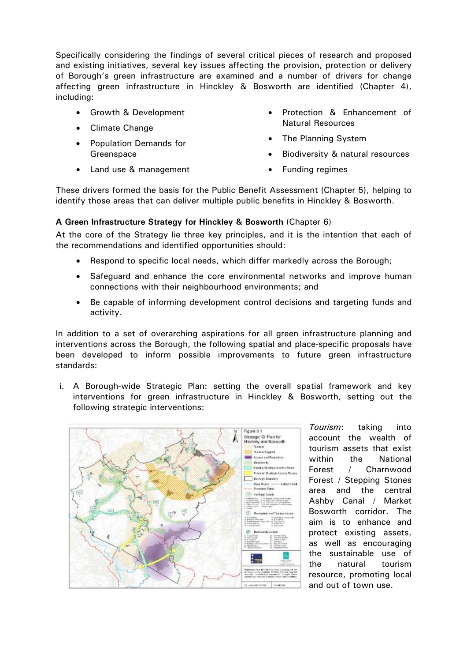Specifically considering the findings of several critical pieces of research and proposed and existing initiatives, several key issues affecting the provision, protection or delivery of Borough's green infrastructure are examined and a number of drivers for change affecting green infrastructure in Hinckley & Bosworth are identified (Chapter 4), including:

- Growth & Development
- Climate Change
- Population Demands for Greenspace
- Protection & Enhancement of Natural Resources
- The Planning System
- Biodiversity & natural resources
- Land use & management
- Funding regimes

These drivers formed the basis for the Public Benefit Assessment (Chapter 5), helping to identify those areas that can deliver multiple public benefits in Hinckley & Bosworth.

# **A Green Infrastructure Strategy for Hinckley & Bosworth** (Chapter 6)

At the core of the Strategy lie three key principles, and it is the intention that each of the recommendations and identified opportunities should:

- Respond to specific local needs, which differ markedly across the Borough;
- Safeguard and enhance the core environmental networks and improve human connections with their neighbourhood environments; and
- Be capable of informing development control decisions and targeting funds and activity.

In addition to a set of overarching aspirations for all green infrastructure planning and interventions across the Borough, the following spatial and place-specific proposals have been developed to inform possible improvements to future green infrastructure standards:

i. A Borough-wide Strategic Plan: setting the overall spatial framework and key interventions for green infrastructure in Hinckley & Bosworth, setting out the following strategic interventions:



*Tourism*: taking into account the wealth of tourism assets that exist within the National Forest / Charnwood Forest / Stepping Stones area and the central Ashby Canal / Market Bosworth corridor. The aim is to enhance and protect existing assets, as well as encouraging the sustainable use of the natural tourism resource, promoting local and out of town use.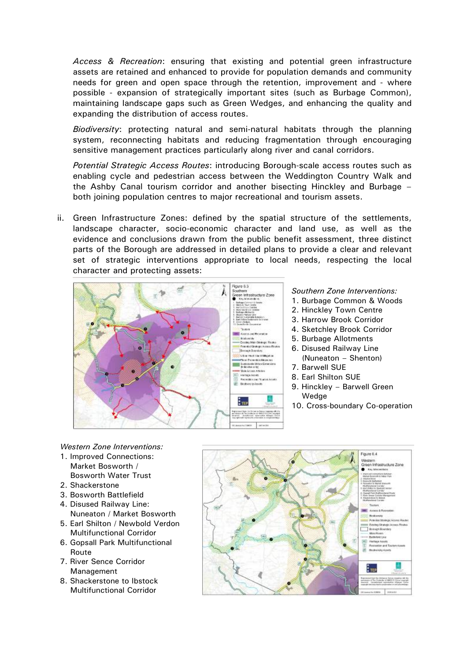*Access & Recreation*: ensuring that existing and potential green infrastructure assets are retained and enhanced to provide for population demands and community needs for green and open space through the retention, improvement and - where possible - expansion of strategically important sites (such as Burbage Common), maintaining landscape gaps such as Green Wedges, and enhancing the quality and expanding the distribution of access routes.

*Biodiversity*: protecting natural and semi-natural habitats through the planning system, reconnecting habitats and reducing fragmentation through encouraging sensitive management practices particularly along river and canal corridors.

*Potential Strategic Access Routes*: introducing Borough-scale access routes such as enabling cycle and pedestrian access between the Weddington Country Walk and the Ashby Canal tourism corridor and another bisecting Hinckley and Burbage – both joining population centres to major recreational and tourism assets.

ii. Green Infrastructure Zones: defined by the spatial structure of the settlements, landscape character, socio-economic character and land use, as well as the evidence and conclusions drawn from the public benefit assessment, three distinct parts of the Borough are addressed in detailed plans to provide a clear and relevant set of strategic interventions appropriate to local needs, respecting the local character and protecting assets:



#### *Southern Zone Interventions:*

- 1. Burbage Common & Woods
- 2. Hinckley Town Centre
- 3. Harrow Brook Corridor
- 4. Sketchley Brook Corridor
- 5. Burbage Allotments
- 6. Disused Railway Line (Nuneaton – Shenton)
- 7. Barwell SUE
- 8. Earl Shilton SUE
- 9. Hinckley Barwell Green Wedge
- 10. Cross-boundary Co-operation

*Western Zone Interventions:* 

- 1. Improved Connections: Market Bosworth / Bosworth Water Trust
- 2. Shackerstone
- 3. Bosworth Battlefield
- 4. Disused Railway Line:
- Nuneaton / Market Bosworth 5. Earl Shilton / Newbold Verdon
- Multifunctional Corridor
- 6. Gopsall Park Multifunctional Route
- 7. River Sence Corridor Management
- 8. Shackerstone to Ibstock Multifunctional Corridor

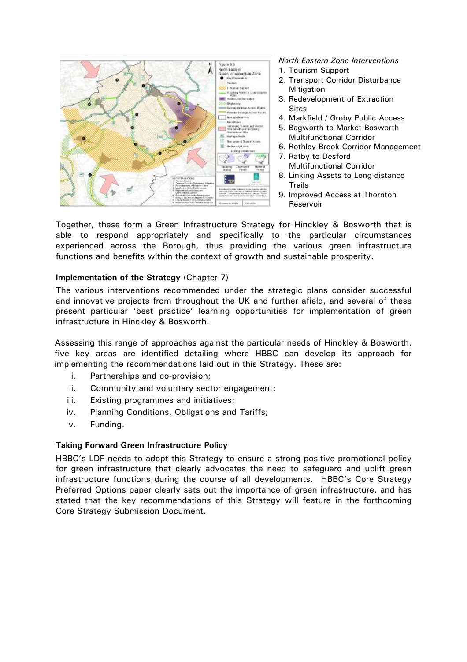

*North Eastern Zone Interventions* 

- 1. Tourism Support
- 2. Transport Corridor Disturbance **Mitigation**
- 3. Redevelopment of Extraction **Sites**
- 4. Markfield / Groby Public Access
- 5. Bagworth to Market Bosworth Multifunctional Corridor
- 6. Rothley Brook Corridor Management
- 7. Ratby to Desford Multifunctional Corridor
- 8. Linking Assets to Long-distance Trails
- 9. Improved Access at Thornton Reservoir

Together, these form a Green Infrastructure Strategy for Hinckley & Bosworth that is able to respond appropriately and specifically to the particular circumstances experienced across the Borough, thus providing the various green infrastructure functions and benefits within the context of growth and sustainable prosperity.

# **Implementation of the Strategy** (Chapter 7)

The various interventions recommended under the strategic plans consider successful and innovative projects from throughout the UK and further afield, and several of these present particular 'best practice' learning opportunities for implementation of green infrastructure in Hinckley & Bosworth.

Assessing this range of approaches against the particular needs of Hinckley & Bosworth, five key areas are identified detailing where HBBC can develop its approach for implementing the recommendations laid out in this Strategy. These are:

- i. Partnerships and co-provision;
- ii. Community and voluntary sector engagement;
- iii. Existing programmes and initiatives;
- iv. Planning Conditions, Obligations and Tariffs;
- v. Funding.

#### **Taking Forward Green Infrastructure Policy**

HBBC's LDF needs to adopt this Strategy to ensure a strong positive promotional policy for green infrastructure that clearly advocates the need to safeguard and uplift green infrastructure functions during the course of all developments. HBBC's Core Strategy Preferred Options paper clearly sets out the importance of green infrastructure, and has stated that the key recommendations of this Strategy will feature in the forthcoming Core Strategy Submission Document.